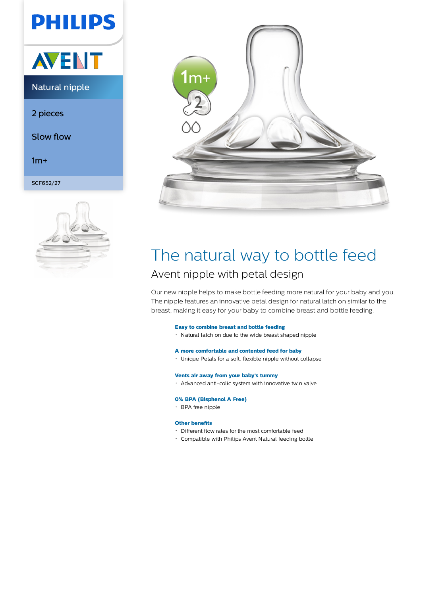# **PHILIPS**



### Natural nipple

2 pieces

Slow flow

 $1m+$ 

SCF652/27





### The natural way to bottle feed Avent nipple with petal design

Our new nipple helps to make bottle feeding more natural for your baby and you. The nipple features an innovative petal design for natural latch on similar to the breast, making it easy for your baby to combine breast and bottle feeding.

#### **Easy to combine breast and bottle feeding**

Natural latch on due to the wide breast shaped nipple

#### **A more comfortable and contented feed for baby**

Unique Petals for a soft, flexible nipple without collapse

#### **Vents air away from your baby's tummy**

Advanced anti-colic system with innovative twin valve

#### **0% BPA (Bisphenol A Free)**

BPA free nipple

#### **Other benefits**

- Different flow rates for the most comfortable feed
- Compatible with Philips Avent Natural feeding bottle